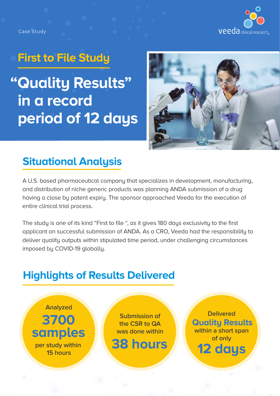

Case Study

# **First to File Study**

**"Quality Results" in a record period of 12 days**



### **Situational Analysis**

A U.S. based pharmaceutical company that specializes in development, manufacturing, and distribution of niche generic products was planning ANDA submission of a drug having a close by patent expiry. The sponsor approached Veeda for the execution of entire clinical trial process.

The study is one of its kind "First to file ", as it gives 180 days exclusivity to the first applicant on successful submission of ANDA. As a CRO, Veeda had the responsibility to deliver quality outputs within stipulated time period, under challenging circumstances imposed by COVID-19 globally.

### **Highlights of Results Delivered**

**3700 per study within Analyzed**

**15 hours**

**Submission of the CSR to QA was done within** 

**samples**<br> **12 days**<br> **12 days**<br> **12 days Quality Results Delivered within a short span of only**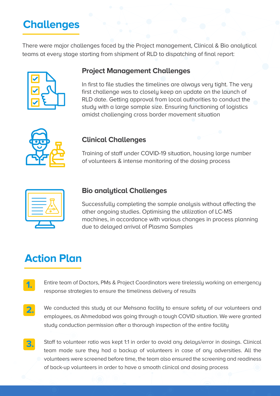### **Challenges**

There were major challenges faced by the Project management, Clinical & Bio analytical teams at every stage starting from shipment of RLD to dispatching of final report:



### **Project Management Challenges**

In first to file studies the timelines are always very tight. The very first challenge was to closely keep an update on the launch of RLD date. Getting approval from local authorities to conduct the study with a large sample size. Ensuring functioning of logistics amidst challenging cross border movement situation



#### **Clinical Challenges**

Training of staff under COVID-19 situation, housing large number of volunteers & intense monitoring of the dosing process



#### **Bio analytical Challenges**

Successfully completing the sample analysis without affecting the other ongoing studies. Optimising the utilization of LC-MS machines, in accordance with various changes in process planning due to delayed arrival of Plasma Samples

### **Action Plan**

- Entire team of Doctors, PMs & Project Coordinators were tirelessly working on emergency response strategies to ensure the timeliness delivery of results **1.**
- We conducted this study at our Mehsana facility to ensure safety of our volunteers and employees, as Ahmedabad was going through a tough COVID situation. We were granted study conduction permission after a thorough inspection of the entire facility **2.**
- Staff to volunteer ratio was kept 1:1 in order to avoid any delays/error in dosings. Clinical team made sure they had a backup of volunteers in case of any adversities. All the volunteers were screened before time, the team also ensured the screening and readiness of back-up volunteers in order to have a smooth clinical and dosing process **3.**